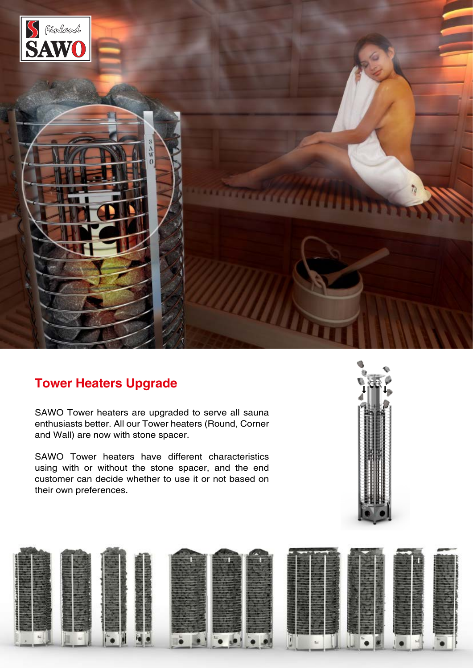

## **Tower Heaters Upgrade**

SAWO Tower heaters are upgraded to serve all sauna enthusiasts better. All our Tower heaters (Round, Corner and Wall) are now with stone spacer.

SAWO Tower heaters have different characteristics using with or without the stone spacer, and the end customer can decide whether to use it or not based on their own preferences.